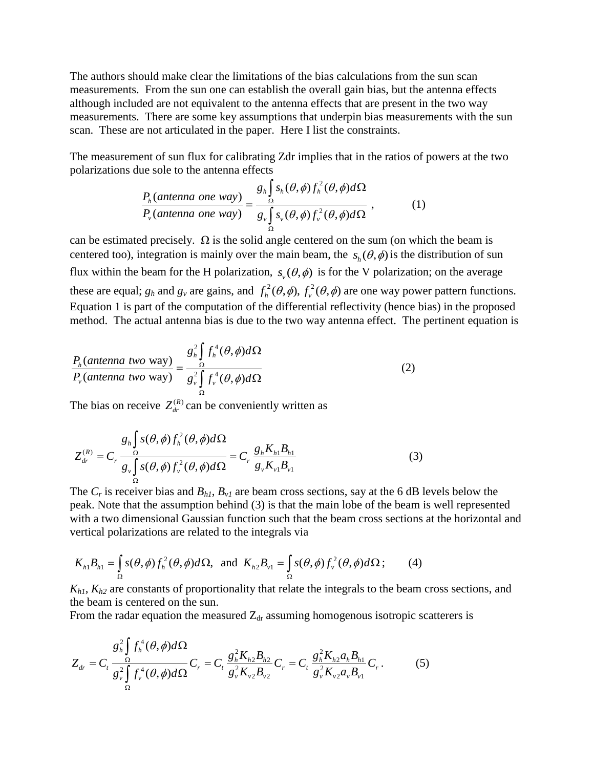The authors should make clear the limitations of the bias calculations from the sun scan measurements. From the sun one can establish the overall gain bias, but the antenna effects although included are not equivalent to the antenna effects that are present in the two way measurements. There are some key assumptions that underpin bias measurements with the sun scan. These are not articulated in the paper. Here I list the constraints.

The measurement of sun flux for calibrating Zdr implies that in the ratios of powers at the two  $(\theta, \phi) f_h^2(\theta, \phi) d\Omega$ 

polarizations due sole to the antenna effects  
\n
$$
\frac{P_h(\text{antenna one way})}{P_v(\text{antenna one way})} = \frac{g_h \int_{\Omega} s_h(\theta, \phi) f_h^2(\theta, \phi) d\Omega}{g_v \int_{\Omega} s_v(\theta, \phi) f_v^2(\theta, \phi) d\Omega}, \qquad (1)
$$

can be estimated precisely.  $\Omega$  is the solid angle centered on the sum (on which the beam is centered too), integration is mainly over the main beam, the  $s_h(\theta, \phi)$  is the distribution of sun flux within the beam for the H polarization,  $s_y(\theta, \phi)$  is for the V polarization; on the average these are equal;  $g_h$  and  $g_v$  are gains, and  $f_h^2(\theta, \phi)$ ,  $f_v^2(\theta, \phi)$  are one way power pattern functions. Equation 1 is part of the computation of the differential reflectivity (hence bias) in the proposed method. The actual antenna bias is due to the two way antenna effect. The pertinent equation is

$$
\frac{P_h(\text{antenna two way})}{P_v(\text{antenna two way})} = \frac{g_h^2 \int_{\Omega} f_h^4(\theta, \phi) d\Omega}{g_v^2 \int_{\Omega} f_v^4(\theta, \phi) d\Omega}
$$
\n(2)

The bias on receive  $Z_{dr}^{(R)}$  can be conveniently written as

$$
Z_{dr}^{(R)} = C_r \frac{g_h \int_{\Omega} s(\theta, \phi) f_h^2(\theta, \phi) d\Omega}{g_v \int_{\Omega} s(\theta, \phi) f_v^2(\theta, \phi) d\Omega} = C_r \frac{g_h K_{h1} B_{h1}}{g_v K_{v1} B_{v1}}
$$
(3)

The  $C_r$  is receiver bias and  $B_{h1}$ ,  $B_{v1}$  are beam cross sections, say at the 6 dB levels below the peak. Note that the assumption behind (3) is that the main lobe of the beam is well represented with a two dimensional Gaussian function such that the beam cross sections at the horizontal and<br>vertical polarizations are related to the integrals via<br> $K_{h1}B_{h1} = \int_{\Omega} s(\theta, \phi) f_h^2(\theta, \phi) d\Omega$ , and  $K_{h2}B_{v1} = \int_{\Omega} s(\theta, \$ 

vertical polarizations are related to the integrals via  
\n
$$
K_{h1}B_{h1} = \int_{\Omega} s(\theta, \phi) f_h^2(\theta, \phi) d\Omega, \text{ and } K_{h2}B_{v1} = \int_{\Omega} s(\theta, \phi) f_v^2(\theta, \phi) d\Omega; \qquad (4)
$$

*Kh1*, *Kh2* are constants of proportionality that relate the integrals to the beam cross sections, and the beam is centered on the sun.

From the radar equation the measured 
$$
Z_{dr}
$$
 assuming homogeneous isotropic scatterers is  
\n
$$
Z_{dr} = C_t \frac{g_h^2 \int f_h^4(\theta, \phi) d\Omega}{g_v^2 \int f_v^4(\theta, \phi) d\Omega} C_r = C_t \frac{g_h^2 K_{h2} B_{h2}}{g_v^2 K_{v2} B_{v2}} C_r = C_t \frac{g_h^2 K_{h2} a_h B_{h1}}{g_v^2 K_{v2} a_v B_{v1}} C_r.
$$
\n(5)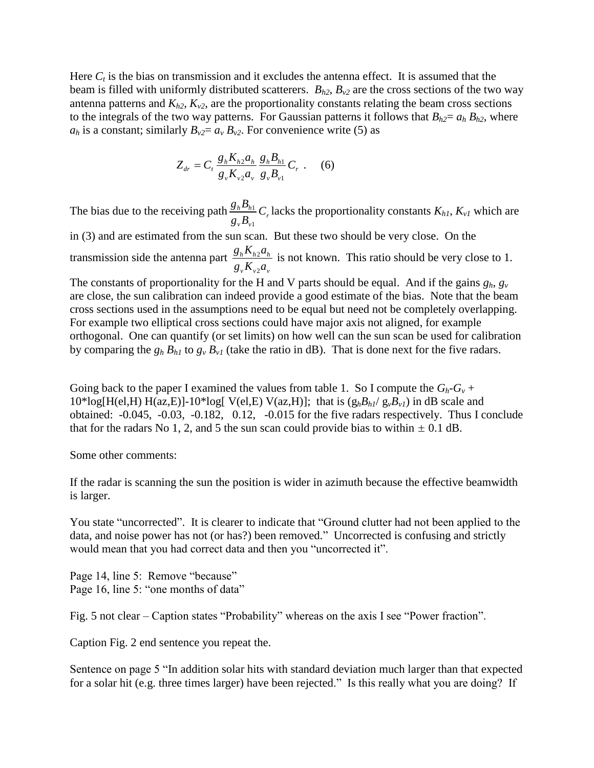Here  $C_t$  is the bias on transmission and it excludes the antenna effect. It is assumed that the beam is filled with uniformly distributed scatterers.  $B_{h2}$ ,  $B_{v2}$  are the cross sections of the two way antenna patterns and  $K_{h2}$ ,  $K_{v2}$ , are the proportionality constants relating the beam cross sections to the integrals of the two way patterns. For Gaussian patterns it follows that  $B_{h2} = a_h B_{h2}$ , where  $a_h$  is a constant; similarly  $B_{v2} = a_v B_{v2}$ . For convenience write (5) as

$$
Z_{dr} = C_t \frac{g_h K_{h2} a_h}{g_v K_{v2} a_v} \frac{g_h B_{h1}}{g_v B_{v1}} C_r .
$$
 (6)

The bias due to the receiving path  $\frac{\delta_h \mathbf{p}_{h1}}{n}$ 1  $\frac{h^{\mathbf{D}} h}{\mathbf{D}} C_r$  $v^{\boldsymbol{\nu}}$ <sup>v</sup>  $\frac{g_h B_{h1}}{g}$  *C g B* lacks the proportionality constants *Kh1*, *Kv1* which are

in (3) and are estimated from the sun scan. But these two should be very close. On the transmission side the antenna part  $\frac{\delta h \mathbf{R}_{h2}}{I}$ 2  $h^{\mathbf{A}}h^{\mathbf{A}}$  $v^{\prime\prime}$  $v^{\prime}$ <sup> $\alpha$ </sup> $v$  $g<sub>h</sub> K<sub>h2</sub> a$  $g_{v} K_{v2} a$ is not known. This ratio should be very close to 1.

The constants of proportionality for the H and V parts should be equal. And if the gains  $g_h$ ,  $g_v$ are close, the sun calibration can indeed provide a good estimate of the bias. Note that the beam cross sections used in the assumptions need to be equal but need not be completely overlapping. For example two elliptical cross sections could have major axis not aligned, for example orthogonal. One can quantify (or set limits) on how well can the sun scan be used for calibration by comparing the  $g_h B_{h1}$  to  $g_v B_{v1}$  (take the ratio in dB). That is done next for the five radars.

Going back to the paper I examined the values from table 1. So I compute the  $G_h - G_v$  +  $10*log[H(eI, H) H(az, E)] - 10*log[V(eI, E) V(az, H)]$ ; that is  $(g_h B_h / g_v B_v I)$  in dB scale and obtained: -0.045, -0.03, -0.182, 0.12, -0.015 for the five radars respectively. Thus I conclude that for the radars No 1, 2, and 5 the sun scan could provide bias to within  $\pm$  0.1 dB.

Some other comments:

If the radar is scanning the sun the position is wider in azimuth because the effective beamwidth is larger.

You state "uncorrected". It is clearer to indicate that "Ground clutter had not been applied to the data, and noise power has not (or has?) been removed." Uncorrected is confusing and strictly would mean that you had correct data and then you "uncorrected it".

Page 14, line 5: Remove "because" Page 16, line 5: "one months of data"

Fig. 5 not clear – Caption states "Probability" whereas on the axis I see "Power fraction".

Caption Fig. 2 end sentence you repeat the.

Sentence on page 5 "In addition solar hits with standard deviation much larger than that expected for a solar hit (e.g. three times larger) have been rejected." Is this really what you are doing? If